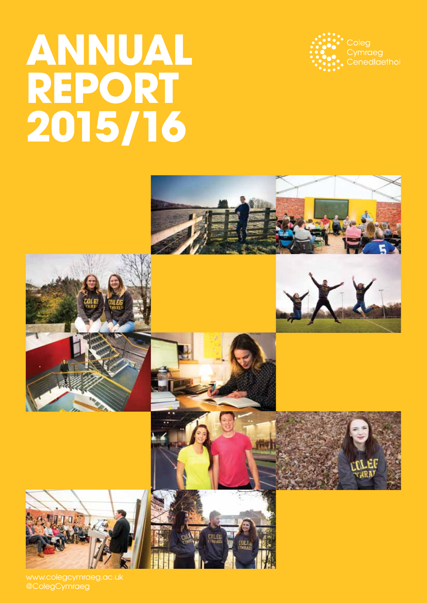# **Annual Report 2015/16**



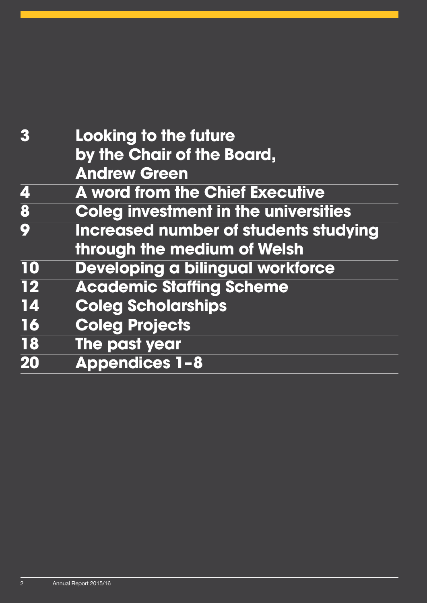| 3                       | Looking to the future                        |
|-------------------------|----------------------------------------------|
|                         | by the Chair of the Board,                   |
|                         | <b>Andrew Green</b>                          |
| 4                       | <b>A word from the Chief Executive</b>       |
| $\overline{\mathbf{8}}$ | <b>Coleg investment in the universities</b>  |
| $\overline{\mathbf{Q}}$ | <b>Increased number of students studying</b> |
|                         | through the medium of Welsh                  |
| 10                      | Developing a bilingual workforce             |
| $\overline{12}$         | <b>Academic Staffing Scheme</b>              |
| 14                      | <b>Coleg Scholarships</b>                    |
| 16                      | <b>Coleg Projects</b>                        |
| 18                      | The past year                                |
| 20                      | <b>Appendices 1-8</b>                        |
|                         |                                              |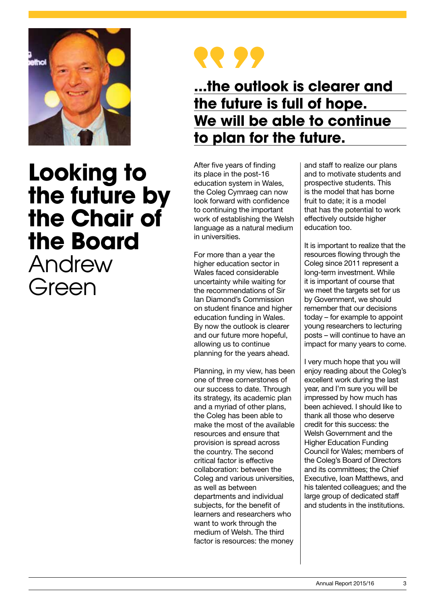

## **Looking to the future by the Chair of the Board** Andrew Green



### **...the outlook is clearer and the future is full of hope. We will be able to continue to plan for the future.**

After five years of finding its place in the post-16 education system in Wales, the Coleg Cymraeg can now look forward with confidence to continuing the important work of establishing the Welsh language as a natural medium in universities.

For more than a year the higher education sector in Wales faced considerable uncertainty while waiting for the recommendations of Sir Ian Diamond's Commission on student finance and higher education funding in Wales. By now the outlook is clearer and our future more hopeful, allowing us to continue planning for the years ahead.

Planning, in my view, has been one of three cornerstones of our success to date. Through its strategy, its academic plan and a myriad of other plans, the Coleg has been able to make the most of the available resources and ensure that provision is spread across the country. The second critical factor is effective collaboration: between the Coleg and various universities, as well as between departments and individual subjects, for the benefit of learners and researchers who want to work through the medium of Welsh. The third factor is resources: the money

and staff to realize our plans and to motivate students and prospective students. This is the model that has borne fruit to date; it is a model that has the potential to work effectively outside higher education too.

It is important to realize that the resources flowing through the Coleg since 2011 represent a long-term investment. While it is important of course that we meet the targets set for us by Government, we should remember that our decisions today – for example to appoint young researchers to lecturing posts – will continue to have an impact for many years to come.

I very much hope that you will enjoy reading about the Coleg's excellent work during the last year, and I'm sure you will be impressed by how much has been achieved. I should like to thank all those who deserve credit for this success: the Welsh Government and the Higher Education Funding Council for Wales; members of the Coleg's Board of Directors and its committees; the Chief Executive, Ioan Matthews, and his talented colleagues; and the large group of dedicated staff and students in the institutions.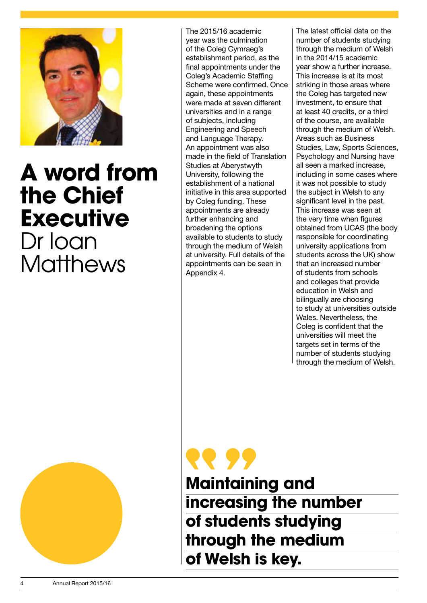

## **A word from the Chief Executive** Dr Ioan **Matthews**

The 2015/16 academic year was the culmination of the Coleg Cymraeg's establishment period, as the final appointments under the Coleg's Academic Staffing Scheme were confirmed. Once again, these appointments were made at seven different universities and in a range of subjects, including Engineering and Speech and Language Therapy. An appointment was also made in the field of Translation Studies at Aberystwyth University, following the establishment of a national initiative in this area supported by Coleg funding. These appointments are already further enhancing and broadening the options available to students to study through the medium of Welsh at university. Full details of the appointments can be seen in Appendix 4.

The latest official data on the number of students studying through the medium of Welsh in the 2014/15 academic year show a further increase. This increase is at its most striking in those areas where the Coleg has targeted new investment, to ensure that at least 40 credits, or a third of the course, are available through the medium of Welsh. Areas such as Business Studies, Law, Sports Sciences, Psychology and Nursing have all seen a marked increase, including in some cases where it was not possible to study the subject in Welsh to any significant level in the past. This increase was seen at the very time when figures obtained from UCAS (the body responsible for coordinating university applications from students across the UK) show that an increased number of students from schools and colleges that provide education in Welsh and bilingually are choosing to study at universities outside Wales. Nevertheless, the Coleg is confident that the universities will meet the targets set in terms of the number of students studying through the medium of Welsh.



**RR 95 Maintaining and increasing the number of students studying through the medium of Welsh is key.**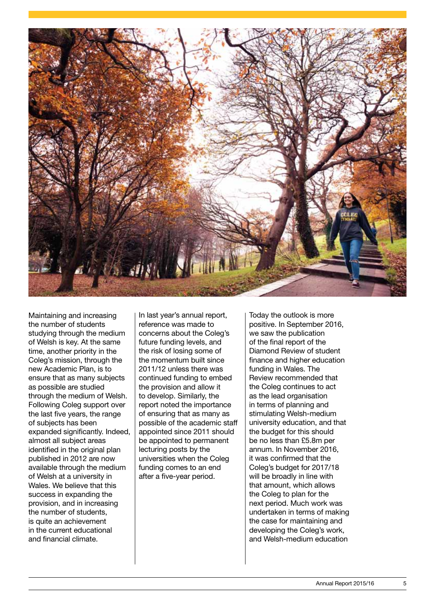

Maintaining and increasing the number of students studying through the medium of Welsh is key. At the same time, another priority in the Coleg's mission, through the new Academic Plan, is to ensure that as many subjects as possible are studied through the medium of Welsh. Following Coleg support over the last five years, the range of subjects has been expanded significantly. Indeed, almost all subject areas identified in the original plan published in 2012 are now available through the medium of Welsh at a university in Wales. We believe that this success in expanding the provision, and in increasing the number of students, is quite an achievement in the current educational and financial climate.

In last year's annual report, reference was made to concerns about the Coleg's future funding levels, and the risk of losing some of the momentum built since 2011/12 unless there was continued funding to embed the provision and allow it to develop. Similarly, the report noted the importance of ensuring that as many as possible of the academic staff appointed since 2011 should be appointed to permanent lecturing posts by the universities when the Coleg funding comes to an end after a five-year period.

Today the outlook is more positive. In September 2016, we saw the publication of the final report of the Diamond Review of student finance and higher education funding in Wales. The Review recommended that the Coleg continues to act as the lead organisation in terms of planning and stimulating Welsh-medium university education, and that the budget for this should be no less than £5.8m per annum. In November 2016, it was confirmed that the Coleg's budget for 2017/18 will be broadly in line with that amount, which allows the Coleg to plan for the next period. Much work was undertaken in terms of making the case for maintaining and developing the Coleg's work, and Welsh-medium education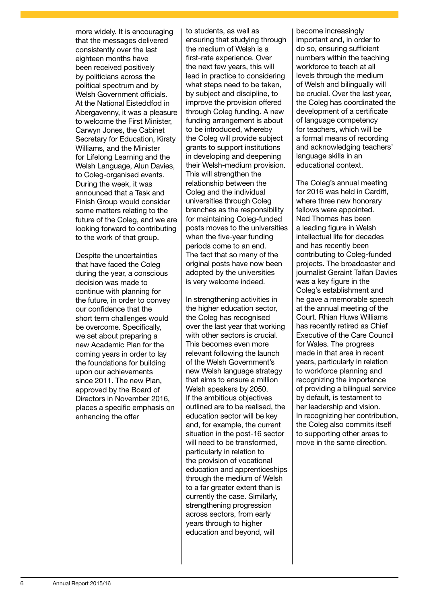more widely. It is encouraging that the messages delivered consistently over the last eighteen months have been received positively by politicians across the political spectrum and by Welsh Government officials. At the National Eisteddfod in Abergavenny, it was a pleasure to welcome the First Minister, Carwyn Jones, the Cabinet Secretary for Education, Kirsty Williams, and the Minister for Lifelong Learning and the Welsh Language, Alun Davies, to Coleg-organised events. During the week, it was announced that a Task and Finish Group would consider some matters relating to the future of the Coleg, and we are looking forward to contributing to the work of that group.

Despite the uncertainties that have faced the Coleg during the year, a conscious decision was made to continue with planning for the future, in order to convey our confidence that the short term challenges would be overcome. Specifically, we set about preparing a new Academic Plan for the coming years in order to lay the foundations for building upon our achievements since 2011. The new Plan, approved by the Board of Directors in November 2016, places a specific emphasis on enhancing the offer

to students, as well as ensuring that studying through the medium of Welsh is a first-rate experience. Over the next few years, this will lead in practice to considering what steps need to be taken, by subject and discipline, to improve the provision offered through Coleg funding. A new funding arrangement is about to be introduced, whereby the Coleg will provide subject grants to support institutions in developing and deepening their Welsh-medium provision. This will strengthen the relationship between the Coleg and the individual universities through Coleg branches as the responsibility for maintaining Coleg-funded posts moves to the universities when the five-year funding periods come to an end. The fact that so many of the original posts have now been adopted by the universities is very welcome indeed.

In strengthening activities in the higher education sector, the Coleg has recognised over the last year that working with other sectors is crucial. This becomes even more relevant following the launch of the Welsh Government's new Welsh language strategy that aims to ensure a million Welsh speakers by 2050. If the ambitious objectives outlined are to be realised, the education sector will be key and, for example, the current situation in the post-16 sector will need to be transformed, particularly in relation to the provision of vocational education and apprenticeships through the medium of Welsh to a far greater extent than is currently the case. Similarly, strengthening progression across sectors, from early years through to higher education and beyond, will

become increasingly important and, in order to do so, ensuring sufficient numbers within the teaching workforce to teach at all levels through the medium of Welsh and bilingually will be crucial. Over the last year, the Coleg has coordinated the development of a certificate of language competency for teachers, which will be a formal means of recording and acknowledging teachers' language skills in an educational context.

The Coleg's annual meeting for 2016 was held in Cardiff, where three new honorary fellows were appointed. Ned Thomas has been a leading figure in Welsh intellectual life for decades and has recently been contributing to Coleg-funded projects. The broadcaster and journalist Geraint Talfan Davies was a key figure in the Coleg's establishment and he gave a memorable speech at the annual meeting of the Court. Rhian Huws Williams has recently retired as Chief Executive of the Care Council for Wales. The progress made in that area in recent years, particularly in relation to workforce planning and recognizing the importance of providing a bilingual service by default, is testament to her leadership and vision. In recognizing her contribution, the Coleg also commits itself to supporting other areas to move in the same direction.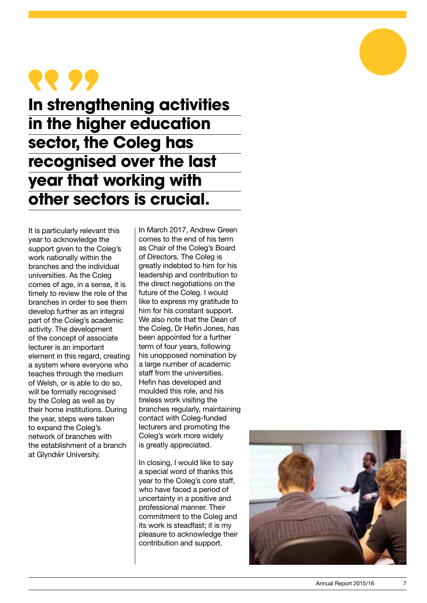## **RR 99**

**In strengthening activities in the higher education sector, the Coleg has recognised over the last year that working with other sectors is crucial.** 

It is particularly relevant this year to acknowledge the support given to the Coleg's work nationally within the branches and the individual universities. As the Coleg comes of age, in a sense, it is timely to review the role of the branches in order to see them develop further as an integral part of the Coleg's academic activity. The development of the concept of associate lecturer is an important element in this regard, creating a system where everyone who teaches through the medium of Welsh, or is able to do so, will be formally recognised by the Coleg as well as by their home institutions. During the year, steps were taken to expand the Coleg's network of branches with the establishment of a branch at Glyndŵr University.

In March 2017, Andrew Green comes to the end of his term as Chair of the Coleg's Board of Directors. The Coleg is greatly indebted to him for his leadership and contribution to the direct negotiations on the future of the Coleg. I would like to express my gratitude to him for his constant support. We also note that the Dean of the Coleg, Dr Hefin Jones, has been appointed for a further term of four years, following his unopposed nomination by a large number of academic staff from the universities. Hefin has developed and moulded this role, and his tireless work visiting the branches regularly, maintaining contact with Coleg-funded lecturers and promoting the Coleg's work more widely is greatly appreciated.

In closing, I would like to say a special word of thanks this year to the Coleg's core staff, who have faced a period of uncertainty in a positive and professional manner. Their commitment to the Coleg and its work is steadfast; it is my pleasure to acknowledge their contribution and support.

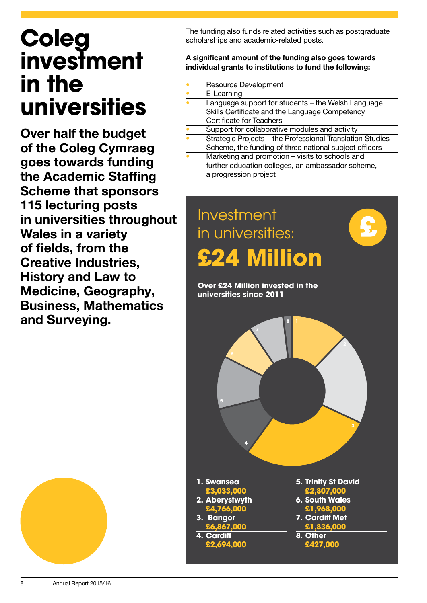## **Coleg investment in the universities**

Over half the budget of the Coleg Cymraeg goes towards funding the Academic Staffing Scheme that sponsors 115 lecturing posts in universities throughout Wales in a variety of fields, from the Creative Industries, History and Law to Medicine, Geography, Business, Mathematics and Surveying.

The funding also funds related activities such as postgraduate scholarships and academic-related posts.

#### A significant amount of the funding also goes towards individual grants to institutions to fund the following:

- Resource Development
- E-Learning
- Language support for students the Welsh Language Skills Certificate and the Language Competency Certificate for Teachers
- Support for collaborative modules and activity
- Strategic Projects the Professional Translation Studies Scheme, the funding of three national subject officers
- Marketing and promotion visits to schools and further education colleges, an ambassador scheme, a progression project



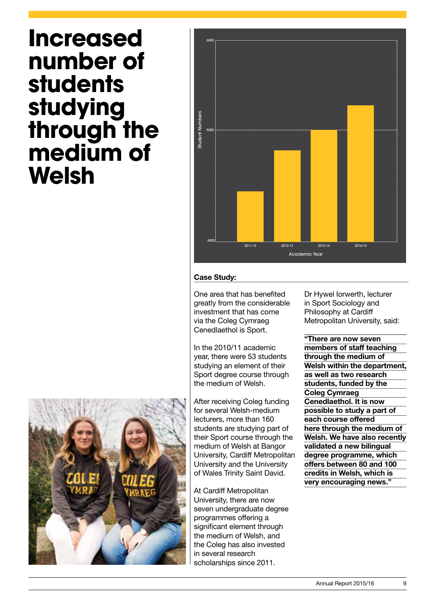## **Increased number of students studying through the medium of Welsh**



#### Case Study:

One area that has benefited greatly from the considerable investment that has come via the Coleg Cymraeg Cenedlaethol is Sport.

In the 2010/11 academic year, there were 53 students studying an element of their Sport degree course through the medium of Welsh.

After receiving Coleg funding for several Welsh-medium lecturers, more than 160 students are studying part of their Sport course through the medium of Welsh at Bangor University, Cardiff Metropolitan University and the University of Wales Trinity Saint David.

At Cardiff Metropolitan University, there are now seven undergraduate degree programmes offering a significant element through the medium of Welsh, and the Coleg has also invested in several research scholarships since 2011.

Dr Hywel Iorwerth, lecturer in Sport Sociology and Philosophy at Cardiff Metropolitan University, said:

"There are now seven members of staff teaching through the medium of Welsh within the department. as well as two research students, funded by the Coleg Cymraeg Cenedlaethol. It is now possible to study a part of each course offered here through the medium of Welsh. We have also recently validated a new bilingual degree programme, which offers between 80 and 100 credits in Welsh, which is very encouraging news."

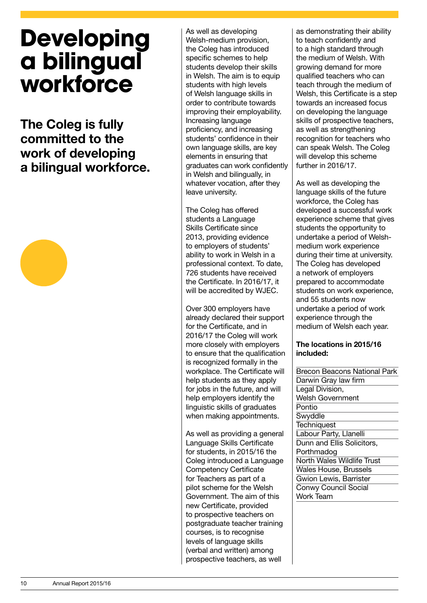## **Developing a bilingual workforce**

The Coleg is fully committed to the work of developing a bilingual workforce.



As well as developing Welsh-medium provision, the Coleg has introduced specific schemes to help students develop their skills in Welsh. The aim is to equip students with high levels of Welsh language skills in order to contribute towards improving their employability. Increasing language proficiency, and increasing students' confidence in their own language skills, are key elements in ensuring that graduates can work confidently in Welsh and bilingually, in whatever vocation, after they leave university.

The Coleg has offered students a Language Skills Certificate since 2013, providing evidence to employers of students' ability to work in Welsh in a professional context. To date, 726 students have received the Certificate. In 2016/17, it will be accredited by WJEC.

Over 300 employers have already declared their support for the Certificate, and in 2016/17 the Coleg will work more closely with employers to ensure that the qualification is recognized formally in the workplace. The Certificate will help students as they apply for jobs in the future, and will help employers identify the linguistic skills of graduates when making appointments.

As well as providing a general Language Skills Certificate for students, in 2015/16 the Coleg introduced a Language Competency Certificate for Teachers as part of a pilot scheme for the Welsh Government. The aim of this new Certificate, provided to prospective teachers on postgraduate teacher training courses, is to recognise levels of language skills (verbal and written) among prospective teachers, as well

as demonstrating their ability to teach confidently and to a high standard through the medium of Welsh. With growing demand for more qualified teachers who can teach through the medium of Welsh, this Certificate is a step towards an increased focus on developing the language skills of prospective teachers, as well as strengthening recognition for teachers who can speak Welsh. The Coleg will develop this scheme further in 2016/17.

As well as developing the language skills of the future workforce, the Coleg has developed a successful work experience scheme that gives students the opportunity to undertake a period of Welshmedium work experience during their time at university. The Coleg has developed a network of employers prepared to accommodate students on work experience, and 55 students now undertake a period of work experience through the medium of Welsh each year.

#### The locations in 2015/16 included:

| <b>Brecon Beacons National Park</b> |
|-------------------------------------|
| Darwin Gray law firm                |
| Legal Division,                     |
| Welsh Government                    |
| Pontio                              |
| Swyddle                             |
| <b>Techniquest</b>                  |
| Labour Party, Llanelli              |
| Dunn and Ellis Solicitors,          |
| Porthmadog                          |
| North Wales Wildlife Trust          |
| <b>Wales House, Brussels</b>        |
| <b>Gwion Lewis, Barrister</b>       |
| <b>Conwy Council Social</b>         |
| Work Team                           |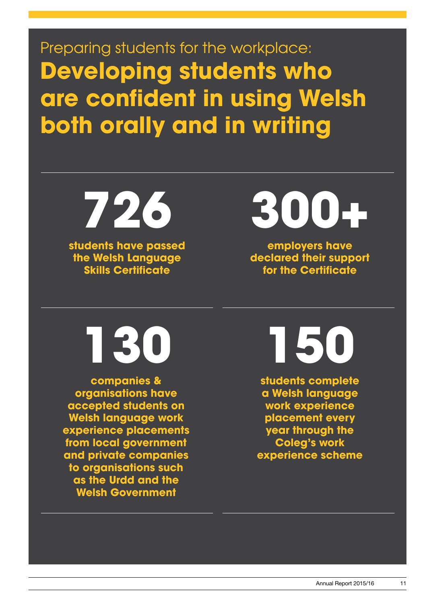Preparing students for the workplace: **Developing students who are confident in using Welsh both orally and in writing**

**students have passed the Welsh Language Skills Certificate 726**

**300+**

**employers have declared their support for the Certificate**

**130**

**companies & organisations have accepted students on Welsh language work experience placements from local government and private companies to organisations such as the Urdd and the Welsh Government**

**150**

**students complete a Welsh language work experience placement every year through the Coleg's work experience scheme**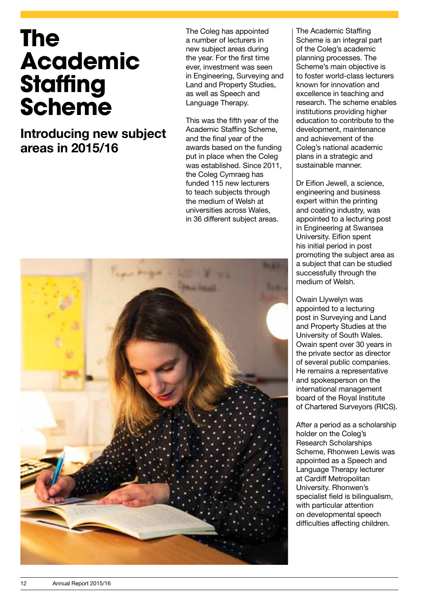## **The Academic Staffing Scheme**

Introducing new subject areas in 2015/16

The Coleg has appointed a number of lecturers in new subject areas during the year. For the first time ever, investment was seen in Engineering, Surveying and Land and Property Studies, as well as Speech and Language Therapy.

This was the fifth year of the Academic Staffing Scheme, and the final year of the awards based on the funding put in place when the Coleg was established. Since 2011, the Coleg Cymraeg has funded 115 new lecturers to teach subjects through the medium of Welsh at universities across Wales, in 36 different subject areas.



The Academic Staffing Scheme is an integral part of the Coleg's academic planning processes. The Scheme's main objective is to foster world-class lecturers known for innovation and excellence in teaching and research. The scheme enables institutions providing higher education to contribute to the development, maintenance and achievement of the Coleg's national academic plans in a strategic and sustainable manner.

Dr Eifion Jewell, a science, engineering and business expert within the printing and coating industry, was appointed to a lecturing post in Engineering at Swansea University. Eifion spent his initial period in post promoting the subject area as a subject that can be studied successfully through the medium of Welsh.

Owain Llywelyn was appointed to a lecturing post in Surveying and Land and Property Studies at the University of South Wales. Owain spent over 30 years in the private sector as director of several public companies. He remains a representative and spokesperson on the international management board of the Royal Institute of Chartered Surveyors (RICS).

After a period as a scholarship holder on the Coleg's Research Scholarships Scheme, Rhonwen Lewis was appointed as a Speech and Language Therapy lecturer at Cardiff Metropolitan University. Rhonwen's specialist field is bilingualism, with particular attention on developmental speech difficulties affecting children.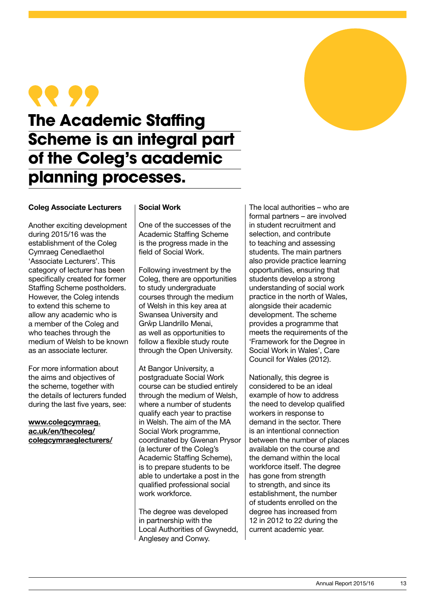

### **The Academic Staffing Scheme is an integral part of the Coleg's academic planning processes.**

#### Coleg Associate Lecturers

Another exciting development during 2015/16 was the establishment of the Coleg Cymraeg Cenedlaethol 'Associate Lecturers'. This category of lecturer has been specifically created for former Staffing Scheme postholders. However, the Coleg intends to extend this scheme to allow any academic who is a member of the Coleg and who teaches through the medium of Welsh to be known as an associate lecturer.

For more information about the aims and objectives of the scheme, together with the details of lecturers funded during the last five years, see:

www.colegcymraeg. ac.uk/en/thecoleg/ colegcymraeglecturers/

#### Social Work

One of the successes of the Academic Staffing Scheme is the progress made in the field of Social Work.

Following investment by the Coleg, there are opportunities to study undergraduate courses through the medium of Welsh in this key area at Swansea University and Grŵp Llandrillo Menai, as well as opportunities to follow a flexible study route through the Open University.

At Bangor University, a postgraduate Social Work course can be studied entirely through the medium of Welsh, where a number of students qualify each year to practise in Welsh. The aim of the MA Social Work programme, coordinated by Gwenan Prysor (a lecturer of the Coleg's Academic Staffing Scheme), is to prepare students to be able to undertake a post in the qualified professional social work workforce.

The degree was developed in partnership with the Local Authorities of Gwynedd, Anglesey and Conwy.

The local authorities – who are formal partners – are involved in student recruitment and selection, and contribute to teaching and assessing students. The main partners also provide practice learning opportunities, ensuring that students develop a strong understanding of social work practice in the north of Wales, alongside their academic development. The scheme provides a programme that meets the requirements of the 'Framework for the Degree in Social Work in Wales', Care Council for Wales (2012).

Nationally, this degree is considered to be an ideal example of how to address the need to develop qualified workers in response to demand in the sector. There is an intentional connection between the number of places available on the course and the demand within the local workforce itself. The degree has gone from strength to strength, and since its establishment, the number of students enrolled on the degree has increased from 12 in 2012 to 22 during the current academic year.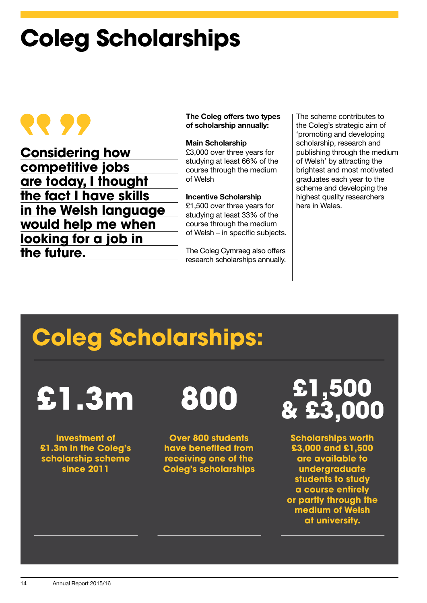## **Coleg Scholarships**

## 56.66

**Considering how competitive jobs are today, I thought the fact I have skills in the Welsh language would help me when looking for a job in the future.**

The Coleg offers two types of scholarship annually:

#### Main Scholarship

£3,000 over three years for studying at least 66% of the course through the medium of Welsh

#### Incentive Scholarship

£1,500 over three years for studying at least 33% of the course through the medium of Welsh – in specific subjects.

The Coleg Cymraeg also offers research scholarships annually.

The scheme contributes to the Coleg's strategic aim of 'promoting and developing scholarship, research and publishing through the medium of Welsh' by attracting the brightest and most motivated graduates each year to the scheme and developing the highest quality researchers here in Wales.

## **Coleg Scholarships:**

**£1.3m**

**Investment of £1.3m in the Coleg's scholarship scheme since 2011**

**800**

**Over 800 students have benefited from receiving one of the Coleg's scholarships**

**£1,500 & £3,000**

**Scholarships worth £3,000 and £1,500 are available to undergraduate students to study a course entirely or partly through the medium of Welsh at university.**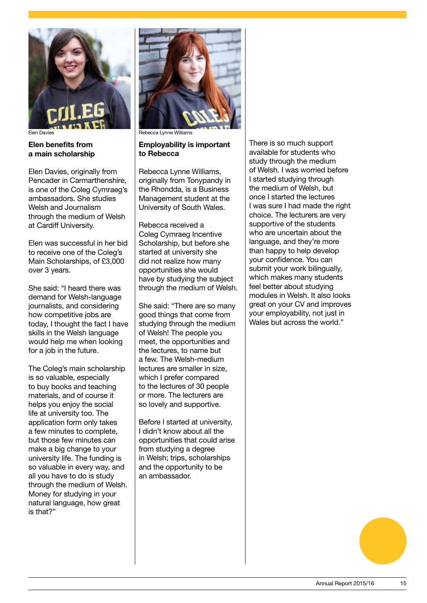

#### Elen benefits from a main scholarship

Elen Davies, originally from Pencader in Carmarthenshire, is one of the Coleg Cymraeg's ambassadors. She studies Welsh and Journalism through the medium of Welsh at Cardiff University.

Elen was successful in her bid to receive one of the Coleg's Main Scholarships, of £3,000 over 3 years.

She said: "I heard there was demand for Welsh-language journalists, and considering how competitive jobs are today, I thought the fact I have skills in the Welsh language would help me when looking for a job in the future.

The Coleg's main scholarship is so valuable, especially to buy books and teaching materials, and of course it helps you enjoy the social life at university too. The application form only takes a few minutes to complete, but those few minutes can make a big change to your university life. The funding is so valuable in every way, and all you have to do is study through the medium of Welsh. Money for studying in your natural language, how great is that?"



Elen Davies **Rebecca Lynne Williams** 

#### Employability is important to Rebecca

Rebecca Lynne Williams, originally from Tonypandy in the Rhondda, is a Business Management student at the University of South Wales.

Rebecca received a Coleg Cymraeg Incentive Scholarship, but before she started at university she did not realize how many opportunities she would have by studying the subject through the medium of Welsh.

She said: "There are so many good things that come from studying through the medium of Welsh! The people you meet, the opportunities and the lectures, to name but a few. The Welsh-medium lectures are smaller in size, which I prefer compared to the lectures of 30 people or more. The lecturers are so lovely and supportive.

Before I started at university, I didn't know about all the opportunities that could arise from studying a degree in Welsh; trips, scholarships and the opportunity to be an ambassador.

There is so much support available for students who study through the medium of Welsh. I was worried before I started studying through the medium of Welsh, but once I started the lectures I was sure I had made the right choice. The lecturers are very supportive of the students who are uncertain about the language, and they're more than happy to help develop your confidence. You can submit your work bilingually, which makes many students feel better about studying modules in Welsh. It also looks great on your CV and improves your employability, not just in Wales but across the world."

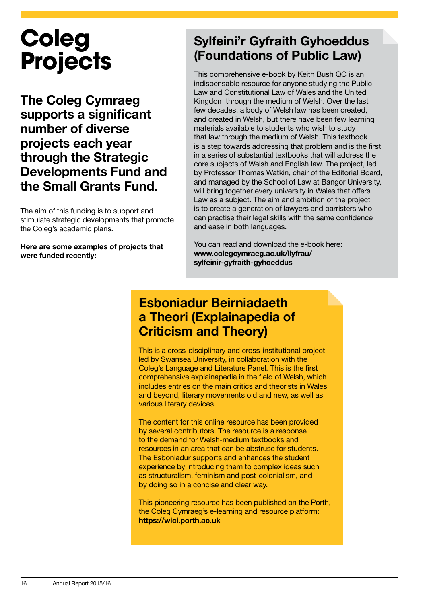## **Coleg Projects**

The Coleg Cymraeg supports a significant number of diverse projects each year through the Strategic Developments Fund and the Small Grants Fund.

The aim of this funding is to support and stimulate strategic developments that promote the Coleg's academic plans.

Here are some examples of projects that were funded recently:

### Sylfeini'r Gyfraith Gyhoeddus (Foundations of Public Law)

This comprehensive e-book by Keith Bush QC is an indispensable resource for anyone studying the Public Law and Constitutional Law of Wales and the United Kingdom through the medium of Welsh. Over the last few decades, a body of Welsh law has been created, and created in Welsh, but there have been few learning materials available to students who wish to study that law through the medium of Welsh. This textbook is a step towards addressing that problem and is the first in a series of substantial textbooks that will address the core subjects of Welsh and English law. The project, led by Professor Thomas Watkin, chair of the Editorial Board, and managed by the School of Law at Bangor University, will bring together every university in Wales that offers Law as a subject. The aim and ambition of the project is to create a generation of lawyers and barristers who can practise their legal skills with the same confidence and ease in both languages.

You can read and download the e-book here: www.colegcymraeg.ac.uk/llyfrau/ sylfeinir-gyfraith-gyhoeddus

### Esboniadur Beirniadaeth a Theori (Explainapedia of Criticism and Theory)

This is a cross-disciplinary and cross-institutional project led by Swansea University, in collaboration with the Coleg's Language and Literature Panel. This is the first comprehensive explainapedia in the field of Welsh, which includes entries on the main critics and theorists in Wales and beyond, literary movements old and new, as well as various literary devices.

The content for this online resource has been provided by several contributors. The resource is a response to the demand for Welsh-medium textbooks and resources in an area that can be abstruse for students. The Esboniadur supports and enhances the student experience by introducing them to complex ideas such as structuralism, feminism and post-colonialism, and by doing so in a concise and clear way.

This pioneering resource has been published on the Porth, the Coleg Cymraeg's e-learning and resource platform: https://wici.porth.ac.uk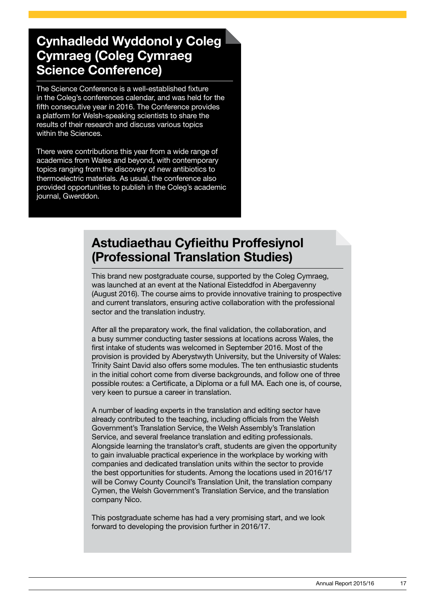### Cynhadledd Wyddonol y Coleg Cymraeg (Coleg Cymraeg Science Conference)

The Science Conference is a well-established fixture in the Coleg's conferences calendar, and was held for the fifth consecutive year in 2016. The Conference provides a platform for Welsh-speaking scientists to share the results of their research and discuss various topics within the Sciences.

There were contributions this year from a wide range of academics from Wales and beyond, with contemporary topics ranging from the discovery of new antibiotics to thermoelectric materials. As usual, the conference also provided opportunities to publish in the Coleg's academic journal, Gwerddon.

### Astudiaethau Cyfieithu Proffesiynol (Professional Translation Studies)

This brand new postgraduate course, supported by the Coleg Cymraeg, was launched at an event at the National Eisteddfod in Abergavenny (August 2016). The course aims to provide innovative training to prospective and current translators, ensuring active collaboration with the professional sector and the translation industry.

After all the preparatory work, the final validation, the collaboration, and a busy summer conducting taster sessions at locations across Wales, the first intake of students was welcomed in September 2016. Most of the provision is provided by Aberystwyth University, but the University of Wales: Trinity Saint David also offers some modules. The ten enthusiastic students in the initial cohort come from diverse backgrounds, and follow one of three possible routes: a Certificate, a Diploma or a full MA. Each one is, of course, very keen to pursue a career in translation.

A number of leading experts in the translation and editing sector have already contributed to the teaching, including officials from the Welsh Government's Translation Service, the Welsh Assembly's Translation Service, and several freelance translation and editing professionals. Alongside learning the translator's craft, students are given the opportunity to gain invaluable practical experience in the workplace by working with companies and dedicated translation units within the sector to provide the best opportunities for students. Among the locations used in 2016/17 will be Conwy County Council's Translation Unit, the translation company Cymen, the Welsh Government's Translation Service, and the translation company Nico.

This postgraduate scheme has had a very promising start, and we look forward to developing the provision further in 2016/17.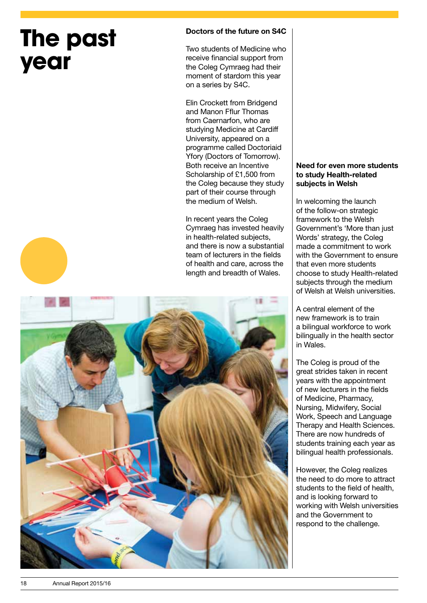## **The past year**

#### Doctors of the future on S4C

Two students of Medicine who receive financial support from the Coleg Cymraeg had their moment of stardom this year on a series by S4C.

Elin Crockett from Bridgend and Manon Fflur Thomas from Caernarfon, who are studying Medicine at Cardiff University, appeared on a programme called Doctoriaid Yfory (Doctors of Tomorrow). Both receive an Incentive Scholarship of £1,500 from the Coleg because they study part of their course through the medium of Welsh.

In recent years the Coleg Cymraeg has invested heavily in health-related subjects, and there is now a substantial team of lecturers in the fields of health and care, across the length and breadth of Wales.



#### Need for even more students to study Health-related subjects in Welsh

In welcoming the launch of the follow-on strategic framework to the Welsh Government's 'More than just Words' strategy, the Coleg made a commitment to work with the Government to ensure that even more students choose to study Health-related subjects through the medium of Welsh at Welsh universities.

A central element of the new framework is to train a bilingual workforce to work bilingually in the health sector in Wales.

The Coleg is proud of the great strides taken in recent years with the appointment of new lecturers in the fields of Medicine, Pharmacy, Nursing, Midwifery, Social Work, Speech and Language Therapy and Health Sciences. There are now hundreds of students training each year as bilingual health professionals.

However, the Coleg realizes the need to do more to attract students to the field of health, and is looking forward to working with Welsh universities and the Government to respond to the challenge.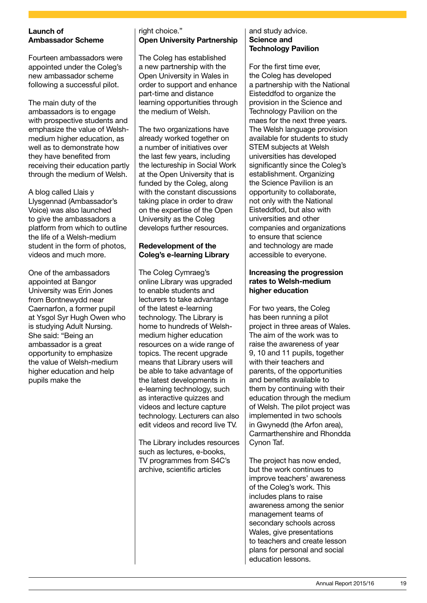#### Launch of Ambassador Scheme

Fourteen ambassadors were appointed under the Coleg's new ambassador scheme following a successful pilot.

The main duty of the ambassadors is to engage with prospective students and emphasize the value of Welshmedium higher education, as well as to demonstrate how they have benefited from receiving their education partly through the medium of Welsh.

A blog called Llais y Llysgennad (Ambassador's Voice) was also launched to give the ambassadors a platform from which to outline the life of a Welsh-medium student in the form of photos, videos and much more.

One of the ambassadors appointed at Bangor University was Erin Jones from Bontnewydd near Caernarfon, a former pupil at Ysgol Syr Hugh Owen who is studying Adult Nursing. She said: "Being an ambassador is a great opportunity to emphasize the value of Welsh-medium higher education and help pupils make the

#### right choice." Open University Partnership

The Coleg has established a new partnership with the Open University in Wales in order to support and enhance part-time and distance learning opportunities through the medium of Welsh.

The two organizations have already worked together on a number of initiatives over the last few years, including the lectureship in Social Work at the Open University that is funded by the Coleg, along with the constant discussions taking place in order to draw on the expertise of the Open University as the Coleg develops further resources.

#### Redevelopment of the Coleg's e-learning Library

The Coleg Cymraeg's online Library was upgraded to enable students and lecturers to take advantage of the latest e-learning technology. The Library is home to hundreds of Welshmedium higher education resources on a wide range of topics. The recent upgrade means that Library users will be able to take advantage of the latest developments in e-learning technology, such as interactive quizzes and videos and lecture capture technology. Lecturers can also edit videos and record live TV.

The Library includes resources such as lectures, e-books, TV programmes from S4C's archive, scientific articles

#### and study advice. Science and Technology Pavilion

For the first time ever, the Coleg has developed a partnership with the National Eisteddfod to organize the provision in the Science and Technology Pavilion on the maes for the next three years. The Welsh language provision available for students to study STEM subjects at Welsh universities has developed significantly since the Coleg's establishment. Organizing the Science Pavilion is an opportunity to collaborate, not only with the National Eisteddfod, but also with universities and other companies and organizations to ensure that science and technology are made accessible to everyone.

#### Increasing the progression rates to Welsh-medium higher education

For two years, the Coleg has been running a pilot project in three areas of Wales. The aim of the work was to raise the awareness of year 9, 10 and 11 pupils, together with their teachers and parents, of the opportunities and benefits available to them by continuing with their education through the medium of Welsh. The pilot project was implemented in two schools in Gwynedd (the Arfon area), Carmarthenshire and Rhondda Cynon Taf.

The project has now ended, but the work continues to improve teachers' awareness of the Coleg's work. This includes plans to raise awareness among the senior management teams of secondary schools across Wales, give presentations to teachers and create lesson plans for personal and social education lessons.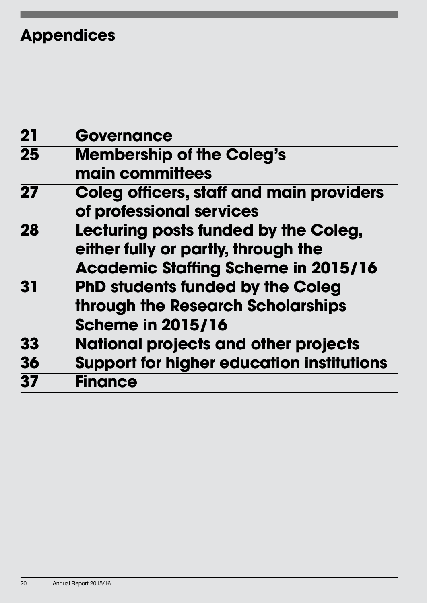## **Appendices**

| 21 | <b>Governance</b>                                |
|----|--------------------------------------------------|
| 25 | <b>Membership of the Coleg's</b>                 |
|    | main committees                                  |
| 27 | <b>Coleg officers, staff and main providers</b>  |
|    | of professional services                         |
| 28 | Lecturing posts funded by the Coleg,             |
|    | either fully or partly, through the              |
|    | <b>Academic Staffing Scheme in 2015/16</b>       |
| 31 | <b>PhD students funded by the Coleg</b>          |
|    | through the Research Scholarships                |
|    | <b>Scheme in 2015/16</b>                         |
| 33 | <b>National projects and other projects</b>      |
| 36 | <b>Support for higher education institutions</b> |
| 37 | <b>Finance</b>                                   |
|    |                                                  |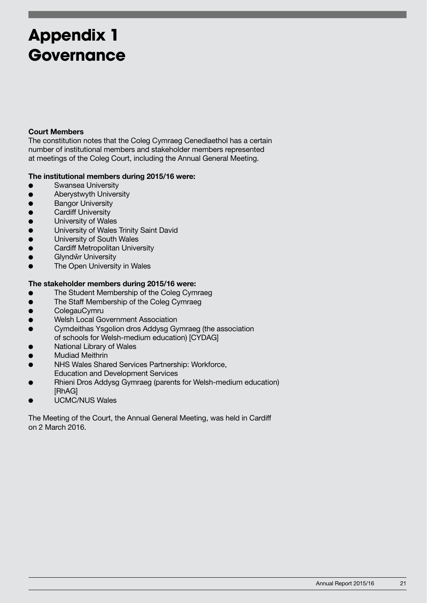## **Appendix 1 Governance**

#### Court Members

The constitution notes that the Coleg Cymraeg Cenedlaethol has a certain number of institutional members and stakeholder members represented at meetings of the Coleg Court, including the Annual General Meeting.

#### The institutional members during 2015/16 were:

- **Swansea University**
- Aberystwyth University
- **Bangor University**
- Cardiff University
- $\bullet$  University of Wales
- **.** University of Wales Trinity Saint David
- $\bullet$  University of South Wales
- **•** Cardiff Metropolitan University
- **•** Glyndŵr University
- **•** The Open University in Wales

#### The stakeholder members during 2015/16 were:

- The Student Membership of the Coleg Cymraeg
- The Staff Membership of the Coleg Cymraeg
- **•** ColegauCymru
- **•** Welsh Local Government Association
- Cymdeithas Ysgolion dros Addysg Gymraeg (the association of schools for Welsh-medium education) [CYDAG]
- National Library of Wales
- $\bullet$ Mudiad Meithrin
- NHS Wales Shared Services Partnership: Workforce, Education and Development Services
- Rhieni Dros Addysg Gymraeg (parents for Welsh-medium education) [RhAG]
- UCMC/NUS Wales

The Meeting of the Court, the Annual General Meeting, was held in Cardiff on 2 March 2016.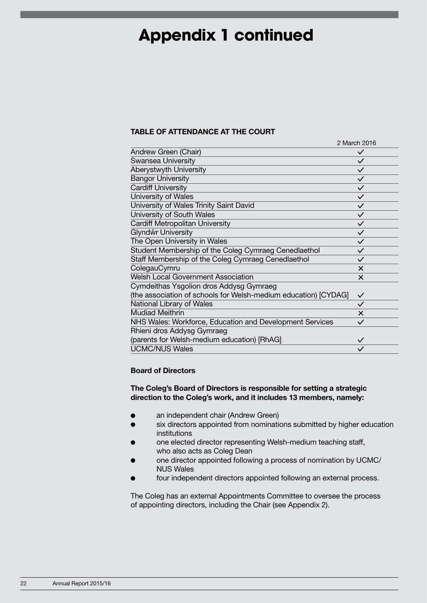### **Appendix 1 continued**

#### TABLE OF ATTENDANCE AT THE COURT

|                                                                 | 2 March 2016 |
|-----------------------------------------------------------------|--------------|
| Andrew Green (Chair)                                            | $\checkmark$ |
| <b>Swansea University</b>                                       | $\checkmark$ |
| Aberystwyth University                                          | $\checkmark$ |
| <b>Bangor University</b>                                        | $\checkmark$ |
| <b>Cardiff University</b>                                       | $\checkmark$ |
| University of Wales                                             | $\checkmark$ |
| University of Wales Trinity Saint David                         | $\checkmark$ |
| University of South Wales                                       | $\checkmark$ |
| Cardiff Metropolitan University                                 | $\checkmark$ |
| Glyndŵr University                                              | $\checkmark$ |
| The Open University in Wales                                    | $\checkmark$ |
| Student Membership of the Coleg Cymraeg Cenedlaethol            | $\checkmark$ |
| Staff Membership of the Coleg Cymraeg Cenedlaethol              | $\checkmark$ |
| ColegauCymru                                                    | $\times$     |
| <b>Welsh Local Government Association</b>                       | $\times$     |
| Cymdeithas Ysgolion dros Addysg Gymraeg                         |              |
| (the association of schools for Welsh-medium education) [CYDAG] | $\checkmark$ |
| National Library of Wales                                       | $\checkmark$ |
| <b>Mudiad Meithrin</b>                                          | $\times$     |
| NHS Wales: Workforce, Education and Development Services        | $\checkmark$ |
| Rhieni dros Addysg Gymraeg                                      |              |
| (parents for Welsh-medium education) [RhAG]                     | $\checkmark$ |
| <b>UCMC/NUS Wales</b>                                           |              |

#### Board of Directors

#### The Coleg's Board of Directors is responsible for setting a strategic direction to the Coleg's work, and it includes 13 members, namely:

- an independent chair (Andrew Green)
- six directors appointed from nominations submitted by higher education institutions
- one elected director representing Welsh-medium teaching staff, who also acts as Coleg Dean
- one director appointed following a process of nomination by UCMC/ NUS Wales
- four independent directors appointed following an external process.

The Coleg has an external Appointments Committee to oversee the process of appointing directors, including the Chair (see Appendix 2).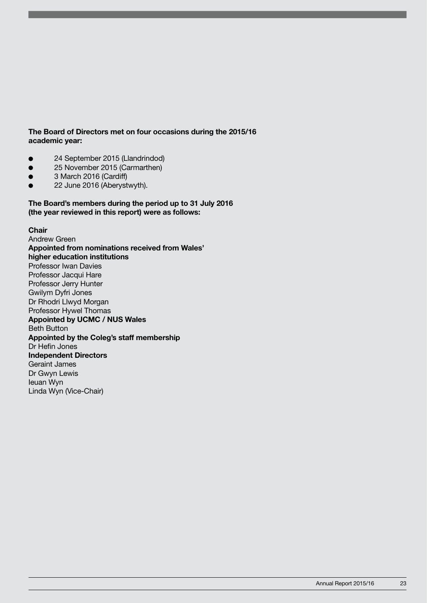#### The Board of Directors met on four occasions during the 2015/16 academic year:

- 24 September 2015 (Llandrindod)
- 25 November 2015 (Carmarthen)
- 3 March 2016 (Cardiff)
- 22 June 2016 (Aberystwyth).

The Board's members during the period up to 31 July 2016 (the year reviewed in this report) were as follows:

#### **Chair**

Andrew Green Appointed from nominations received from Wales' higher education institutions Professor Iwan Davies Professor Jacqui Hare Professor Jerry Hunter Gwilym Dyfri Jones Dr Rhodri Llwyd Morgan Professor Hywel Thomas Appointed by UCMC / NUS Wales Beth Button Appointed by the Coleg's staff membership Dr Hefin Jones Independent Directors Geraint James Dr Gwyn Lewis Ieuan Wyn Linda Wyn (Vice-Chair)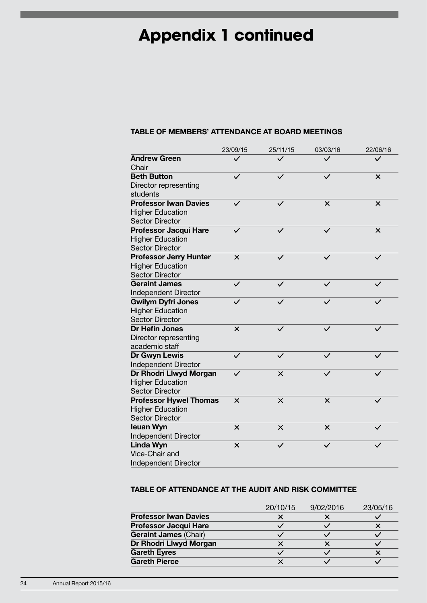## **Appendix 1 continued**

#### TABLE OF MEMBERS' ATTENDANCE AT BOARD MEETINGS

|                               | 23/09/15     | 25/11/15     | 03/03/16     | 22/06/16     |
|-------------------------------|--------------|--------------|--------------|--------------|
| <b>Andrew Green</b>           | $\checkmark$ | $\checkmark$ | $\checkmark$ | $\checkmark$ |
| Chair                         |              |              |              |              |
| <b>Beth Button</b>            | $\checkmark$ | $\checkmark$ |              | $\times$     |
| Director representing         |              |              |              |              |
| students                      |              |              |              |              |
| <b>Professor Iwan Davies</b>  | $\checkmark$ | $\checkmark$ | $\times$     | $\times$     |
| <b>Higher Education</b>       |              |              |              |              |
| <b>Sector Director</b>        |              |              |              |              |
| <b>Professor Jacqui Hare</b>  | $\checkmark$ | $\checkmark$ | $\checkmark$ | $\times$     |
| <b>Higher Education</b>       |              |              |              |              |
| <b>Sector Director</b>        |              |              |              |              |
| <b>Professor Jerry Hunter</b> | $\times$     | $\checkmark$ |              | $\checkmark$ |
| <b>Higher Education</b>       |              |              |              |              |
| <b>Sector Director</b>        |              |              |              |              |
| <b>Geraint James</b>          | $\checkmark$ | $\checkmark$ | $\checkmark$ | $\checkmark$ |
| Independent Director          |              |              |              |              |
| <b>Gwilym Dyfri Jones</b>     | $\checkmark$ | $\checkmark$ | $\checkmark$ | $\checkmark$ |
| <b>Higher Education</b>       |              |              |              |              |
| <b>Sector Director</b>        |              |              |              |              |
| <b>Dr Hefin Jones</b>         | $\times$     | $\checkmark$ | $\checkmark$ | $\checkmark$ |
| Director representing         |              |              |              |              |
| academic staff                |              |              |              |              |
| Dr Gwyn Lewis                 | $\checkmark$ | $\checkmark$ | $\checkmark$ | $\checkmark$ |
| <b>Independent Director</b>   |              |              |              |              |
| Dr Rhodri Llwyd Morgan        | $\checkmark$ | ×            |              |              |
| <b>Higher Education</b>       |              |              |              |              |
| <b>Sector Director</b>        |              |              |              |              |
| <b>Professor Hywel Thomas</b> | $\times$     | $\times$     | $\times$     |              |
| <b>Higher Education</b>       |              |              |              |              |
| <b>Sector Director</b>        |              |              |              |              |
| leuan Wyn                     | $\times$     | $\times$     | $\times$     |              |
| Independent Director          |              |              |              |              |
| Linda Wyn                     | $\times$     | $\checkmark$ | $\checkmark$ |              |
| Vice-Chair and                |              |              |              |              |
| <b>Independent Director</b>   |              |              |              |              |

#### TABLE OF ATTENDANCE AT THE AUDIT AND RISK COMMITTEE

|                              | 20/10/15 | 9/02/2016 | 23/05/16 |
|------------------------------|----------|-----------|----------|
| <b>Professor Iwan Davies</b> |          |           |          |
| <b>Professor Jacqui Hare</b> |          |           |          |
| <b>Geraint James (Chair)</b> |          |           |          |
| Dr Rhodri Llwyd Morgan       |          |           |          |
| <b>Gareth Eyres</b>          |          |           |          |
| <b>Gareth Pierce</b>         |          |           |          |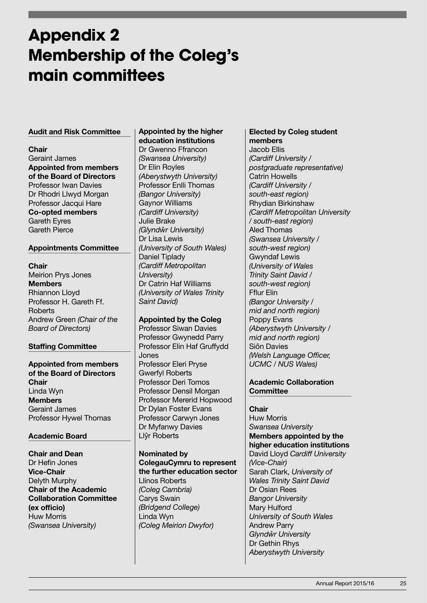## **Appendix 2 Membership of the Coleg's main committees**

#### Audit and Risk Committee

Chair Geraint James Appointed from members of the Board of Directors Professor Iwan Davies Dr Rhodri Llwyd Morgan Professor Jacqui Hare Co-opted members Gareth Eyres Gareth Pierce

#### Appointments Committee

#### **Chair**

Meirion Prys Jones Members Rhiannon Lloyd Professor H. Gareth Ff. **Roberts** Andrew Green (Chair of the Board of Directors)

#### Staffing Committee

Appointed from members of the Board of Directors **Chair** Linda Wyn **Members** Geraint James Professor Hywel Thomas

#### Academic Board

Chair and Dean Dr Hefin Jones Vice-Chair Delyth Murphy Chair of the Academic Collaboration Committee (ex officio) Huw Morris (Swansea University)

#### Appointed by the higher education institutions

Dr Gwenno Ffrancon (Swansea University) Dr Elin Royles (Aberystwyth University) Professor Enlli Thomas (Bangor University) Gaynor Williams (Cardiff University) Julie Brake (Glyndŵr University) Dr Lisa Lewis (University of South Wales) Daniel Tiplady (Cardiff Metropolitan University) Dr Catrin Haf Williams (University of Wales Trinity Saint David)

#### Appointed by the Coleg

Professor Siwan Davies Professor Gwynedd Parry Professor Elin Haf Gruffydd Jones Professor Eleri Pryse Gwerfyl Roberts Professor Deri Tomos Professor Densil Morgan Professor Mererid Hopwood Dr Dylan Foster Evans Professor Carwyn Jones Dr Myfanwy Davies Llŷr Roberts

Nominated by ColegauCymru to represent the further education sector Llinos Roberts (Coleg Cambria) Carys Swain

(Bridgend College) Linda Wyn (Coleg Meirion Dwyfor)

#### Elected by Coleg student members

Jacob Ellis (Cardiff University / postgraduate representative) Catrin Howells (Cardiff University / south-east region) Rhydian Birkinshaw (Cardiff Metropolitan University / south-east region) Aled Thomas (Swansea University / south-west region) Gwyndaf Lewis (University of Wales Trinity Saint David / south-west region) Fflur Elin (Bangor University / mid and north region) Poppy Evans (Aberystwyth University / mid and north region) Siôn Davies (Welsh Language Officer, UCMC / NUS Wales)

#### Academic Collaboration **Committee**

#### **Chair**

Huw Morris Swansea University Members appointed by the higher education institutions David Lloyd Cardiff University (Vice-Chair) Sarah Clark, University of Wales Trinity Saint David Dr Osian Rees Bangor University Mary Hulford University of South Wales Andrew Parry Glyndŵr University Dr Gethin Rhys Aberystwyth University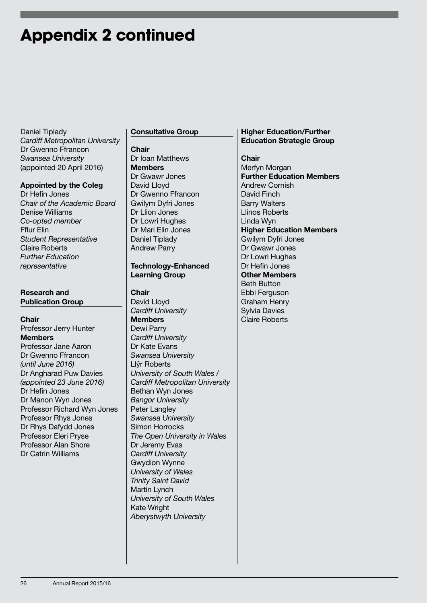### **Appendix 2 continued**

Daniel Tiplady Cardiff Metropolitan University Dr Gwenno Ffrancon Swansea University (appointed 20 April 2016)

#### Appointed by the Coleg

Dr Hefin Jones Chair of the Academic Board Denise Williams Co-opted member Fflur Elin Student Representative Claire Roberts Further Education representative

#### Research and Publication Group

**Chair** Professor Jerry Hunter Members Professor Jane Aaron Dr Gwenno Ffrancon (until June 2016) Dr Angharad Puw Davies (appointed 23 June 2016) Dr Hefin Jones Dr Manon Wyn Jones Professor Richard Wyn Jones Professor Rhys Jones Dr Rhys Dafydd Jones Professor Eleri Pryse Professor Alan Shore Dr Catrin Williams

#### Consultative Group

#### Chair Dr Ioan Matthews **Members** Dr Gwawr Jones David Lloyd Dr Gwenno Ffrancon Gwilym Dyfri Jones Dr Llion Jones Dr Lowri Hughes Dr Mari Elin Jones Daniel Tiplady Andrew Parry

#### Technology-Enhanced Learning Group

#### **Chair**

David Lloyd Cardiff University Members Dewi Parry Cardiff University Dr Kate Evans Swansea University Llŷr Roberts University of South Wales / Cardiff Metropolitan University Bethan Wyn Jones Bangor University Peter Langley Swansea University Simon Horrocks The Open University in Wales Dr Jeremy Evas Cardiff University Gwydion Wynne University of Wales Trinity Saint David Martin Lynch University of South Wales Kate Wright Aberystwyth University

#### Higher Education/Further Education Strategic Group

Chair Merfyn Morgan Further Education Members Andrew Cornish David Finch Barry Walters Llinos Roberts Linda Wyn Higher Education Members Gwilym Dyfri Jones Dr Gwawr Jones Dr Lowri Hughes Dr Hefin Jones Other Members Beth Button Ebbi Ferguson Graham Henry Sylvia Davies Claire Roberts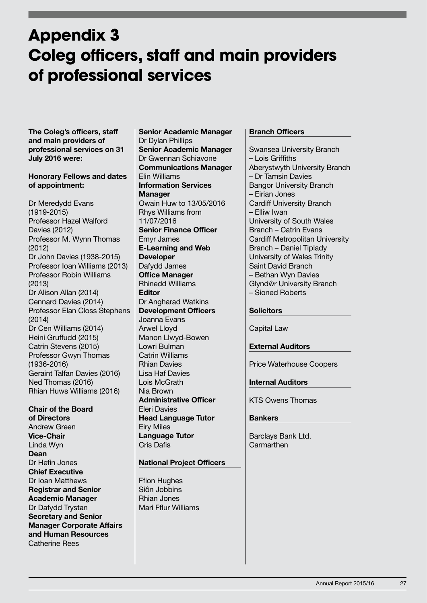### **Appendix 3 Coleg officers, staff and main providers of professional services**

The Coleg's officers, staff and main providers of professional services on 31 July 2016 were:

#### Honorary Fellows and dates of appointment:

Dr Meredydd Evans (1919-2015) Professor Hazel Walford Davies (2012) Professor M. Wynn Thomas (2012) Dr John Davies (1938-2015) Professor Ioan Williams (2013) Professor Robin Williams (2013) Dr Alison Allan (2014) Cennard Davies (2014) Professor Elan Closs Stephens (2014) Dr Cen Williams (2014) Heini Gruffudd (2015) Catrin Stevens (2015) Professor Gwyn Thomas (1936-2016) Geraint Talfan Davies (2016) Ned Thomas (2016) Rhian Huws Williams (2016)

Chair of the Board of Directors Andrew Green Vice-Chair Linda Wyn Dean Dr Hefin Jones Chief Executive Dr Ioan Matthews Registrar and Senior Academic Manager Dr Dafydd Trystan Secretary and Senior Manager Corporate Affairs and Human Resources Catherine Rees

Senior Academic Manager Dr Dylan Phillips Senior Academic Manager Dr Gwennan Schiavone Communications Manager Elin Williams Information Services **Manager** Owain Huw to 13/05/2016 Rhys Williams from 11/07/2016 Senior Finance Officer Emyr James E-Learning and Web Developer Dafydd James Office Manager Rhinedd Williams Editor Dr Angharad Watkins Development Officers Joanna Evans Arwel Lloyd Manon Llwyd-Bowen Lowri Bulman Catrin Williams Rhian Davies Lisa Haf Davies Lois McGrath Nia Brown Administrative Officer Eleri Davies Head Language Tutor Eiry Miles Language Tutor Cris Dafis

#### National Project Officers

Ffion Hughes Siôn Jobbins Rhian Jones Mari Fflur Williams

#### Branch Officers

Swansea University Branch – Lois Griffiths Aberystwyth University Branch – Dr Tamsin Davies Bangor University Branch – Eirian Jones Cardiff University Branch – Elliw Iwan University of South Wales Branch – Catrin Evans Cardiff Metropolitan University Branch – Daniel Tiplady University of Wales Trinity Saint David Branch – Bethan Wyn Davies Glyndŵr University Branch – Sioned Roberts

#### **Solicitors**

Capital Law

#### External Auditors

Price Waterhouse Coopers

#### Internal Auditors

KTS Owens Thomas

#### **Bankers**

Barclays Bank Ltd. **Carmarthen**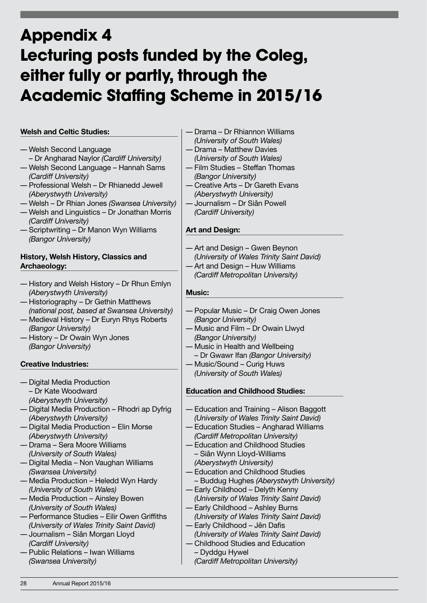## **Appendix 4 Lecturing posts funded by the Coleg, either fully or partly, through the Academic Staffing Scheme in 2015/16**

#### Welsh and Celtic Studies:

- –– Welsh Second Language – Dr Angharad Naylor (Cardiff University)
- –– Welsh Second Language Hannah Sams (Cardiff University)
- –– Professional Welsh Dr Rhianedd Jewell (Aberystwyth University)
- –– Welsh Dr Rhian Jones (Swansea University)
- –– Welsh and Linguistics Dr Jonathan Morris (Cardiff University)
- –– Scriptwriting Dr Manon Wyn Williams (Bangor University)

#### History, Welsh History, Classics and Archaeology:

- –– History and Welsh History Dr Rhun Emlyn (Aberystwyth University)
- –– Historiography Dr Gethin Matthews (national post, based at Swansea University)
- –– Medieval History Dr Euryn Rhys Roberts (Bangor University)
- –– History Dr Owain Wyn Jones (Bangor University)

#### Creative Industries:

- –– Digital Media Production – Dr Kate Woodward (Aberystwyth University)
- –– Digital Media Production Rhodri ap Dyfrig (Aberystwyth University)
- –– Digital Media Production Elin Morse (Aberystwyth University)
- –– Drama Sera Moore Williams (University of South Wales)
- –– Digital Media Non Vaughan Williams (Swansea University)
- –– Media Production Heledd Wyn Hardy (University of South Wales)
- –– Media Production Ainsley Bowen (University of South Wales)
- –– Performance Studies Eilir Owen Griffiths (University of Wales Trinity Saint David)
- –– Journalism Siân Morgan Lloyd (Cardiff University)
- –– Public Relations Iwan Williams (Swansea University)
- –– Drama Dr Rhiannon Williams
- (University of South Wales) –– Drama – Matthew Davies
- (University of South Wales)
- –– Film Studies Steffan Thomas (Bangor University)
- –– Creative Arts Dr Gareth Evans (Aberystwyth University)
- –– Journalism Dr Siân Powell (Cardiff University)

#### Art and Design:

- –– Art and Design Gwen Beynon (University of Wales Trinity Saint David)
- –– Art and Design Huw Williams (Cardiff Metropolitan University)

#### Music:

- –– Popular Music Dr Craig Owen Jones (Bangor University)
- –– Music and Film Dr Owain Llwyd (Bangor University)
- –– Music in Health and Wellbeing
- Dr Gwawr Ifan (Bangor University)
- –– Music/Sound Curig Huws (University of South Wales)

#### Education and Childhood Studies:

- –– Education and Training Alison Baggott (University of Wales Trinity Saint David)
- –– Education Studies Angharad Williams (Cardiff Metropolitan University)
- –– Education and Childhood Studies – Siân Wynn Lloyd-Williams
- (Aberystwyth University)
- –– Education and Childhood Studies
- Buddug Hughes (Aberystwyth University)
- –– Early Childhood Delyth Kenny (University of Wales Trinity Saint David)
- –– Early Childhood Ashley Burns (University of Wales Trinity Saint David)
- –– Early Childhood Jên Dafis (University of Wales Trinity Saint David)
- –– Childhood Studies and Education – Dyddgu Hywel (Cardiff Metropolitan University)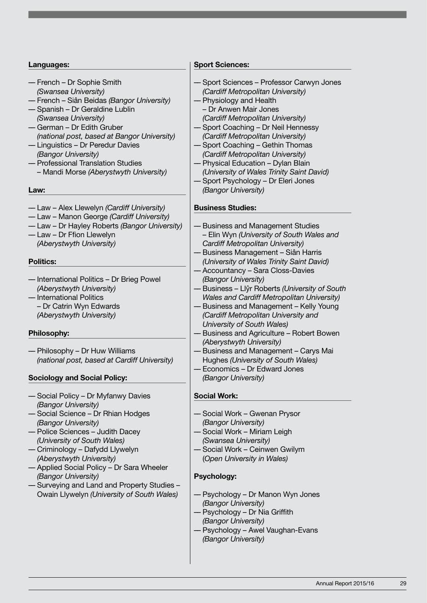#### Languages:

- –– French Dr Sophie Smith (Swansea University)
- –– French Siân Beidas (Bangor University) –– Spanish – Dr Geraldine Lublin
- (Swansea University) –– German – Dr Edith Gruber (national post, based at Bangor University)
- –– Linguistics Dr Peredur Davies (Bangor University)
- –– Professional Translation Studies – Mandi Morse (Aberystwyth University)

Law:

- –– Law Alex Llewelyn (Cardiff University)
- –– Law Manon George (Cardiff University)
- –– Law Dr Hayley Roberts (Bangor University)
- –– Law Dr Ffion Llewelyn (Aberystwyth University)

#### Politics:

- –– International Politics Dr Brieg Powel (Aberystwyth University)
- –– International Politics
	- Dr Catrin Wyn Edwards
	- (Aberystwyth University)

#### Philosophy:

–– Philosophy – Dr Huw Williams (national post, based at Cardiff University)

#### Sociology and Social Policy:

- –– Social Policy Dr Myfanwy Davies (Bangor University)
- –– Social Science Dr Rhian Hodges (Bangor University)
- –– Police Sciences Judith Dacey (University of South Wales)
- –– Criminology Dafydd Llywelyn (Aberystwyth University)
- –– Applied Social Policy Dr Sara Wheeler (Bangor University)
- –– Surveying and Land and Property Studies Owain Llywelyn (University of South Wales)

#### Sport Sciences:

- –– Sport Sciences Professor Carwyn Jones (Cardiff Metropolitan University)
- –– Physiology and Health – Dr Anwen Mair Jones (Cardiff Metropolitan University)
- Sport Coaching Dr Neil Hennessy (Cardiff Metropolitan University)
	- Sport Coaching Gethin Thomas (Cardiff Metropolitan University)
- –– Physical Education Dylan Blain (University of Wales Trinity Saint David)
- –– Sport Psychology Dr Eleri Jones (Bangor University)

#### Business Studies:

- –– Business and Management Studies
- Elin Wyn (University of South Wales and Cardiff Metropolitan University)
- –– Business Management Siân Harris (University of Wales Trinity Saint David) –– Accountancy – Sara Closs-Davies
- (Bangor University)
- –– Business Llŷr Roberts (University of South Wales and Cardiff Metropolitan University)
- –– Business and Management Kelly Young (Cardiff Metropolitan University and University of South Wales)
- –– Business and Agriculture Robert Bowen (Aberystwyth University)
- –– Business and Management Carys Mai Hughes (University of South Wales)
- –– Economics Dr Edward Jones (Bangor University)

#### Social Work:

- –– Social Work Gwenan Prysor (Bangor University)
- –– Social Work Miriam Leigh (Swansea University)
- Social Work Ceinwen Gwilym (Open University in Wales)
	-

#### Psychology:

- –– Psychology Dr Manon Wyn Jones (Bangor University)
- –– Psychology Dr Nia Griffith (Bangor University)
- –– Psychology Awel Vaughan-Evans (Bangor University)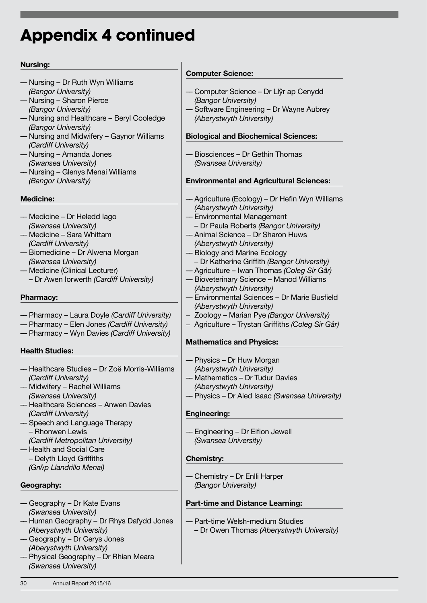## **Appendix 4 continued**

#### Nursing:

- –– Nursing Dr Ruth Wyn Williams (Bangor University)
- –– Nursing Sharon Pierce (Bangor University)
- –– Nursing and Healthcare Beryl Cooledge (Bangor University)
- –– Nursing and Midwifery Gaynor Williams (Cardiff University)
- –– Nursing Amanda Jones (Swansea University)
- –– Nursing Glenys Menai Williams (Bangor University)

#### Medicine:

- –– Medicine Dr Heledd Iago (Swansea University)
- –– Medicine Sara Whittam (Cardiff University)
- –– Biomedicine Dr Alwena Morgan (Swansea University)
- –– Medicine (Clinical Lecturer)
	- Dr Awen Iorwerth (Cardiff University)

#### Pharmacy:

- –– Pharmacy Laura Doyle (Cardiff University)
- –– Pharmacy Elen Jones (Cardiff University)
- –– Pharmacy Wyn Davies (Cardiff University)

#### Health Studies:

- –– Healthcare Studies Dr Zoë Morris-Williams (Cardiff University)
- –– Midwifery Rachel Williams (Swansea University)
- –– Healthcare Sciences Anwen Davies (Cardiff University)
- –– Speech and Language Therapy – Rhonwen Lewis (Cardiff Metropolitan University)
- –– Health and Social Care
- Delyth Lloyd Griffiths (Grŵp Llandrillo Menai)

#### Geography:

- –– Geography Dr Kate Evans (Swansea University)
- –– Human Geography Dr Rhys Dafydd Jones (Aberystwyth University)
- –– Geography Dr Cerys Jones (Aberystwyth University)
- –– Physical Geography Dr Rhian Meara (Swansea University)

#### Computer Science:

- –– Computer Science Dr Llŷr ap Cenydd (Bangor University)
- –– Software Engineering Dr Wayne Aubrey (Aberystwyth University)

#### Biological and Biochemical Sciences:

–– Biosciences – Dr Gethin Thomas (Swansea University)

#### Environmental and Agricultural Sciences:

- –– Agriculture (Ecology) Dr Hefin Wyn Williams (Aberystwyth University)
- –– Environmental Management – Dr Paula Roberts (Bangor University)
- –– Animal Science Dr Sharon Huws (Aberystwyth University)
- –– Biology and Marine Ecology
- Dr Katherine Griffith (Bangor University)
- –– Agriculture Iwan Thomas (Coleg Sir Gâr)
- –– Bioveterinary Science Manod Williams (Aberystwyth University)
- –– Environmental Sciences Dr Marie Busfield (Aberystwyth University)
- − Zoology Marian Pye (Bangor University)
- − Agriculture Trystan Griffiths (Coleg Sir Gâr)

#### Mathematics and Physics:

- –– Physics Dr Huw Morgan (Aberystwyth University)
- –– Mathematics Dr Tudur Davies (Aberystwyth University)
- –– Physics Dr Aled Isaac (Swansea University)

#### Engineering:

–– Engineering – Dr Eifion Jewell (Swansea University)

#### Chemistry:

–– Chemistry – Dr Enlli Harper (Bangor University)

#### Part-time and Distance Learning:

- –– Part-time Welsh-medium Studies
	- Dr Owen Thomas (Aberystwyth University)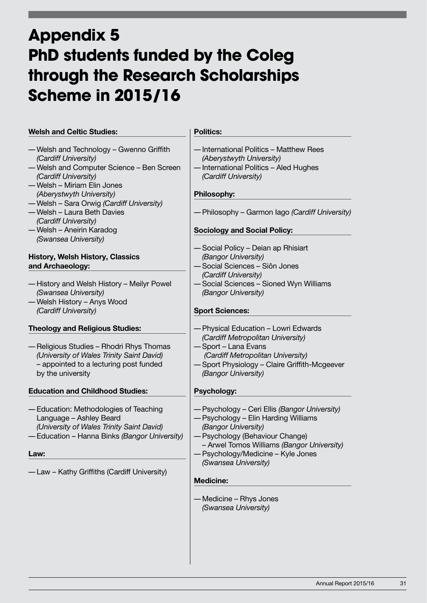## **Appendix 5 PhD students funded by the Coleg through the Research Scholarships Scheme in 2015/16**

| <b>Welsh and Celtic Studies:</b>                                                                                                                                                                | <b>Politics:</b>                                                                                                                                                                                                                    |
|-------------------------------------------------------------------------------------------------------------------------------------------------------------------------------------------------|-------------------------------------------------------------------------------------------------------------------------------------------------------------------------------------------------------------------------------------|
| - Welsh and Technology - Gwenno Griffith<br>(Cardiff University)<br>- Welsh and Computer Science - Ben Screen<br>(Cardiff University)<br>-Welsh - Miriam Elin Jones<br>(Aberystwyth University) | -International Politics - Matthew Rees<br>(Aberystwyth University)<br>-International Politics - Aled Hughes<br>(Cardiff University)<br><b>Philosophy:</b>                                                                           |
| -Welsh - Sara Orwig (Cardiff University)<br>-Welsh - Laura Beth Davies<br>(Cardiff University)<br>— Welsh – Aneirin Karadog                                                                     | - Philosophy – Garmon Iago (Cardiff University)<br><b>Sociology and Social Policy:</b>                                                                                                                                              |
| (Swansea University)<br><b>History, Welsh History, Classics</b><br>and Archaeology:<br>-History and Welsh History - Meilyr Powel<br>(Swansea University)                                        | -Social Policy - Deian ap Rhisiart<br>(Bangor University)<br>- Social Sciences – Siôn Jones<br>(Cardiff University)<br>-Social Sciences - Sioned Wyn Williams<br>(Bangor University)                                                |
| -Welsh History - Anys Wood<br>(Cardiff University)                                                                                                                                              | <b>Sport Sciences:</b>                                                                                                                                                                                                              |
| <b>Theology and Religious Studies:</b><br>- Religious Studies – Rhodri Rhys Thomas<br>(University of Wales Trinity Saint David)<br>- appointed to a lecturing post funded<br>by the university  | - Physical Education – Lowri Edwards<br>(Cardiff Metropolitan University)<br>- Sport – Lana Evans<br>(Cardiff Metropolitan University)<br>-Sport Physiology - Claire Griffith-Mcgeever<br>(Bangor University)                       |
| <b>Education and Childhood Studies:</b>                                                                                                                                                         | <b>Psychology:</b>                                                                                                                                                                                                                  |
| - Education: Methodologies of Teaching<br>Language - Ashley Beard<br>(University of Wales Trinity Saint David)<br>- Education - Hanna Binks (Bangor University)<br>Law:                         | - Psychology - Ceri Ellis (Bangor University)<br>- Psychology - Elin Harding Williams<br>(Bangor University)<br>- Psychology (Behaviour Change)<br>- Arwel Tomos Williams (Bangor University)<br>- Psychology/Medicine - Kyle Jones |
| -Law - Kathy Griffiths (Cardiff University)                                                                                                                                                     | (Swansea University)<br><b>Medicine:</b>                                                                                                                                                                                            |
|                                                                                                                                                                                                 | - Medicine – Rhys Jones<br>(Swansea University)                                                                                                                                                                                     |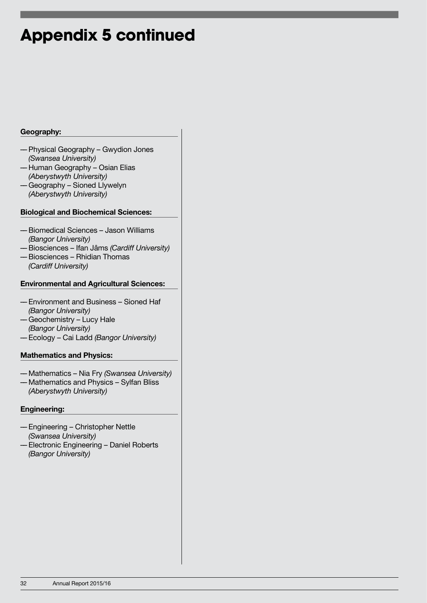### **Appendix 5 continued**

#### Geography:

- –– Physical Geography Gwydion Jones (Swansea University)
- –– Human Geography Osian Elias (Aberystwyth University)
- –– Geography Sioned Llywelyn (Aberystwyth University)

#### Biological and Biochemical Sciences:

- –– Biomedical Sciences Jason Williams (Bangor University)
- –– Biosciences Ifan Jâms (Cardiff University) –– Biosciences – Rhidian Thomas (Cardiff University)

#### Environmental and Agricultural Sciences:

- –– Environment and Business Sioned Haf (Bangor University)
- –– Geochemistry Lucy Hale (Bangor University)
- –– Ecology Cai Ladd (Bangor University)

#### Mathematics and Physics:

- –– Mathematics Nia Fry (Swansea University)
- –– Mathematics and Physics Sylfan Bliss (Aberystwyth University)

#### Engineering:

- –– Engineering Christopher Nettle (Swansea University)
- –– Electronic Engineering Daniel Roberts (Bangor University)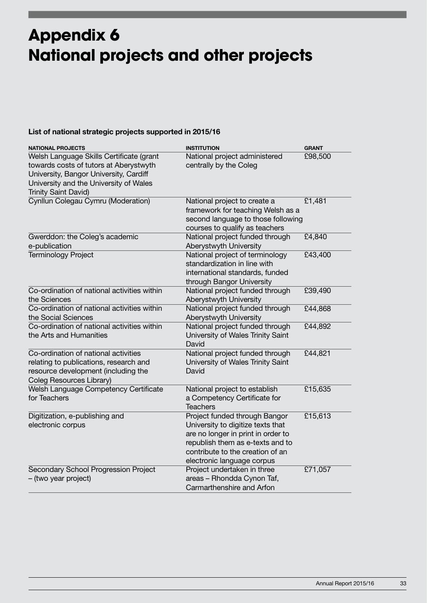## **Appendix 6 National projects and other projects**

#### List of national strategic projects supported in 2015/16

| <b>NATIONAL PROJECTS</b>                                                                                                                                                                       | <b>INSTITUTION</b>                                                                                                                                                                                             | <b>GRANT</b> |
|------------------------------------------------------------------------------------------------------------------------------------------------------------------------------------------------|----------------------------------------------------------------------------------------------------------------------------------------------------------------------------------------------------------------|--------------|
| Welsh Language Skills Certificate (grant<br>towards costs of tutors at Aberystwyth<br>University, Bangor University, Cardiff<br>University and the University of Wales<br>Trinity Saint David) | National project administered<br>centrally by the Coleg                                                                                                                                                        | £98,500      |
| Cynllun Colegau Cymru (Moderation)                                                                                                                                                             | National project to create a<br>framework for teaching Welsh as a<br>second language to those following<br>courses to qualify as teachers                                                                      | £1,481       |
| Gwerddon: the Coleg's academic<br>e-publication                                                                                                                                                | National project funded through<br>Aberystwyth University                                                                                                                                                      | £4,840       |
| <b>Terminology Project</b>                                                                                                                                                                     | National project of terminology<br>standardization in line with<br>international standards, funded<br>through Bangor University                                                                                | £43,400      |
| Co-ordination of national activities within<br>the Sciences                                                                                                                                    | National project funded through<br>Aberystwyth University                                                                                                                                                      | £39,490      |
| Co-ordination of national activities within<br>the Social Sciences                                                                                                                             | National project funded through<br>Aberystwyth University                                                                                                                                                      | £44,868      |
| Co-ordination of national activities within<br>the Arts and Humanities                                                                                                                         | National project funded through<br>University of Wales Trinity Saint<br>David                                                                                                                                  | £44,892      |
| Co-ordination of national activities<br>relating to publications, research and<br>resource development (including the<br>Coleg Resources Library)                                              | National project funded through<br>University of Wales Trinity Saint<br>David                                                                                                                                  | £44,821      |
| Welsh Language Competency Certificate<br>for Teachers                                                                                                                                          | National project to establish<br>a Competency Certificate for<br><b>Teachers</b>                                                                                                                               | £15,635      |
| Digitization, e-publishing and<br>electronic corpus                                                                                                                                            | Project funded through Bangor<br>University to digitize texts that<br>are no longer in print in order to<br>republish them as e-texts and to<br>contribute to the creation of an<br>electronic language corpus | £15,613      |
| Secondary School Progression Project<br>- (two year project)                                                                                                                                   | Project undertaken in three<br>areas - Rhondda Cynon Taf,<br>Carmarthenshire and Arfon                                                                                                                         | £71,057      |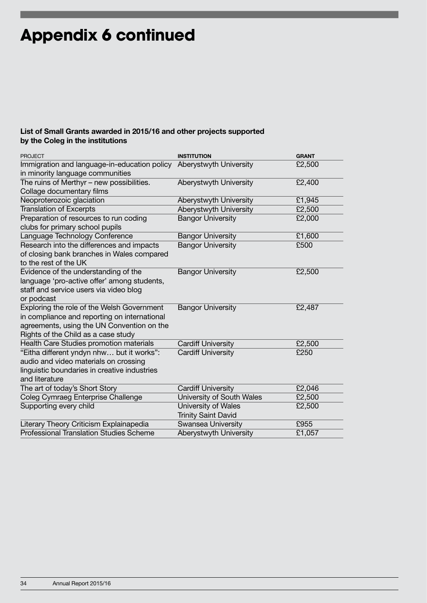## **Appendix 6 continued**

#### List of Small Grants awarded in 2015/16 and other projects supported by the Coleg in the institutions

| <b>PROJECT</b>                                 | <b>INSTITUTION</b>         | <b>GRANT</b> |
|------------------------------------------------|----------------------------|--------------|
| Immigration and language-in-education policy   | Aberystwyth University     | £2,500       |
| in minority language communities               |                            |              |
| The ruins of Merthyr - new possibilities.      | Aberystwyth University     | £2,400       |
| Collage documentary films                      |                            |              |
| Neoproterozoic glaciation                      | Aberystwyth University     | £1,945       |
| <b>Translation of Excerpts</b>                 | Aberystwyth University     | £2,500       |
| Preparation of resources to run coding         | <b>Bangor University</b>   | £2,000       |
| clubs for primary school pupils                |                            |              |
| Language Technology Conference                 | <b>Bangor University</b>   | £1,600       |
| Research into the differences and impacts      | <b>Bangor University</b>   | £500         |
| of closing bank branches in Wales compared     |                            |              |
| to the rest of the UK                          |                            |              |
| Evidence of the understanding of the           | <b>Bangor University</b>   | £2,500       |
| language 'pro-active offer' among students,    |                            |              |
| staff and service users via video blog         |                            |              |
| or podcast                                     |                            |              |
| Exploring the role of the Welsh Government     | <b>Bangor University</b>   | £2,487       |
| in compliance and reporting on international   |                            |              |
| agreements, using the UN Convention on the     |                            |              |
| Rights of the Child as a case study            |                            |              |
| Health Care Studies promotion materials        | <b>Cardiff University</b>  | £2,500       |
| "Eitha different yndyn nhw but it works":      | <b>Cardiff University</b>  | £250         |
| audio and video materials on crossing          |                            |              |
| linguistic boundaries in creative industries   |                            |              |
| and literature                                 |                            |              |
| The art of today's Short Story                 | <b>Cardiff University</b>  | £2,046       |
| Coleg Cymraeg Enterprise Challenge             | University of South Wales  | £2,500       |
| Supporting every child                         | University of Wales        | £2,500       |
|                                                | <b>Trinity Saint David</b> |              |
| Literary Theory Criticism Explainapedia        | <b>Swansea University</b>  | £955         |
| <b>Professional Translation Studies Scheme</b> | Aberystwyth University     | £1,057       |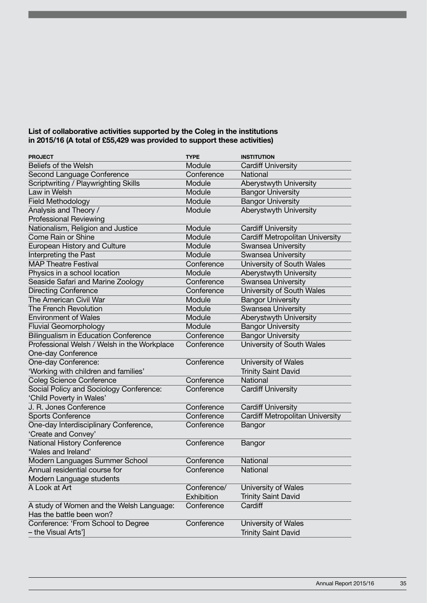#### List of collaborative activities supported by the Coleg in the institutions in 2015/16 (A total of £55,429 was provided to support these activities)

| <b>PROJECT</b>                              | <b>TYPE</b> | <b>INSTITUTION</b>                     |
|---------------------------------------------|-------------|----------------------------------------|
| Beliefs of the Welsh                        | Module      | <b>Cardiff University</b>              |
| Second Language Conference                  | Conference  | National                               |
| Scriptwriting / Playwrighting Skills        | Module      | Aberystwyth University                 |
| Law in Welsh                                | Module      | <b>Bangor University</b>               |
| <b>Field Methodology</b>                    | Module      | <b>Bangor University</b>               |
| Analysis and Theory /                       | Module      | Aberystwyth University                 |
| <b>Professional Reviewing</b>               |             |                                        |
| Nationalism, Religion and Justice           | Module      | <b>Cardiff University</b>              |
| Come Rain or Shine                          | Module      | <b>Cardiff Metropolitan University</b> |
| European History and Culture                | Module      | Swansea University                     |
| Interpreting the Past                       | Module      | <b>Swansea University</b>              |
| <b>MAP Theatre Festival</b>                 | Conference  | University of South Wales              |
| Physics in a school location                | Module      | Aberystwyth University                 |
| Seaside Safari and Marine Zoology           | Conference  | Swansea University                     |
| <b>Directing Conference</b>                 | Conference  | University of South Wales              |
| The American Civil War                      | Module      | <b>Bangor University</b>               |
| <b>The French Revolution</b>                | Module      | Swansea University                     |
| <b>Environment of Wales</b>                 | Module      | Aberystwyth University                 |
| <b>Fluvial Geomorphology</b>                | Module      | <b>Bangor University</b>               |
| <b>Bilingualism in Education Conference</b> | Conference  | <b>Bangor University</b>               |
| Professional Welsh / Welsh in the Workplace | Conference  | University of South Wales              |
| <b>One-day Conference</b>                   |             |                                        |
| One-day Conference:                         | Conference  | University of Wales                    |
| 'Working with children and families'        |             | <b>Trinity Saint David</b>             |
| <b>Coleg Science Conference</b>             | Conference  | National                               |
| Social Policy and Sociology Conference:     | Conference  | <b>Cardiff University</b>              |
| 'Child Poverty in Wales'                    |             |                                        |
| J. R. Jones Conference                      | Conference  | <b>Cardiff University</b>              |
| <b>Sports Conference</b>                    | Conference  | Cardiff Metropolitan University        |
| One-day Interdisciplinary Conference,       | Conference  | Bangor                                 |
| 'Create and Convey'                         |             |                                        |
| National History Conference                 | Conference  | Bangor                                 |
| 'Wales and Ireland'                         |             |                                        |
| Modern Languages Summer School              | Conference  | National                               |
| Annual residential course for               | Conference  | National                               |
| Modern Language students                    |             |                                        |
| A Look at Art                               | Conference/ | University of Wales                    |
|                                             | Exhibition  | <b>Trinity Saint David</b>             |
| A study of Women and the Welsh Language:    | Conference  | Cardiff                                |
| Has the battle been won?                    |             |                                        |
| Conference: 'From School to Degree          | Conference  | University of Wales                    |
| - the Visual Arts']                         |             | <b>Trinity Saint David</b>             |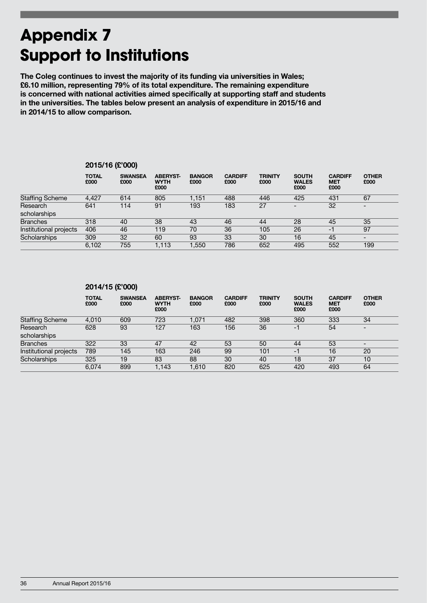## **Appendix 7 Support to Institutions**

The Coleg continues to invest the majority of its funding via universities in Wales; £6.10 million, representing 79% of its total expenditure. The remaining expenditure is concerned with national activities aimed specifically at supporting staff and students in the universities. The tables below present an analysis of expenditure in 2015/16 and in 2014/15 to allow comparison.

|                        | -------              | $\cdots$               |                                        |                       |                        |                        |                                      |                                      |                          |  |
|------------------------|----------------------|------------------------|----------------------------------------|-----------------------|------------------------|------------------------|--------------------------------------|--------------------------------------|--------------------------|--|
|                        | <b>TOTAL</b><br>£000 | <b>SWANSEA</b><br>£000 | <b>ABERYST-</b><br><b>WYTH</b><br>£000 | <b>BANGOR</b><br>£000 | <b>CARDIFF</b><br>£000 | <b>TRINITY</b><br>£000 | <b>SOUTH</b><br><b>WALES</b><br>£000 | <b>CARDIFF</b><br><b>MET</b><br>£000 | <b>OTHER</b><br>£000     |  |
| <b>Staffing Scheme</b> | 4,427                | 614                    | 805                                    | 1,151                 | 488                    | 446                    | 425                                  | 431                                  | 67                       |  |
| Research               | 641                  | 114                    | 91                                     | 193                   | 183                    | 27                     | $\overline{\phantom{0}}$             | 32                                   | $\overline{\phantom{0}}$ |  |
| scholarships           |                      |                        |                                        |                       |                        |                        |                                      |                                      |                          |  |
| <b>Branches</b>        | 318                  | 40                     | 38                                     | 43                    | 46                     | 44                     | 28                                   | 45                                   | 35                       |  |
| Institutional projects | 406                  | 46                     | 119                                    | 70                    | 36                     | 105                    | 26                                   | -1                                   | 97                       |  |
| Scholarships           | 309                  | 32                     | 60                                     | 93                    | 33                     | 30                     | 16                                   | 45                                   | $\overline{\phantom{0}}$ |  |
|                        | 6.102                | 755                    | 1,113                                  | 1.550                 | 786                    | 652                    | 495                                  | 552                                  | 199                      |  |
|                        |                      |                        |                                        |                       |                        |                        |                                      |                                      |                          |  |

#### 2015/16 (£'000)

| 2014/15 (£'000) |
|-----------------|
|-----------------|

|                        | <b>TOTAL</b><br>£000 | <b>SWANSEA</b><br>£000 | <b>ABERYST-</b><br><b>WYTH</b><br>£000 | <b>BANGOR</b><br>£000 | <b>CARDIFF</b><br>£000 | <b>TRINITY</b><br>£000 | <b>SOUTH</b><br><b>WALES</b><br>£000 | <b>CARDIFF</b><br><b>MET</b><br>£000 | <b>OTHER</b><br>£000     |
|------------------------|----------------------|------------------------|----------------------------------------|-----------------------|------------------------|------------------------|--------------------------------------|--------------------------------------|--------------------------|
| <b>Staffing Scheme</b> | 4,010                | 609                    | 723                                    | 1,071                 | 482                    | 398                    | 360                                  | 333                                  | 34                       |
| Research               | 628                  | 93                     | 127                                    | 163                   | 156                    | 36                     | -1                                   | 54                                   | $\overline{\phantom{0}}$ |
| scholarships           |                      |                        |                                        |                       |                        |                        |                                      |                                      |                          |
| <b>Branches</b>        | 322                  | 33                     | 47                                     | 42                    | 53                     | 50                     | 44                                   | 53                                   |                          |
| Institutional projects | 789                  | 145                    | 163                                    | 246                   | 99                     | 101                    | -1                                   | 16                                   | 20                       |
| Scholarships           | 325                  | 19                     | 83                                     | 88                    | 30                     | 40                     | 18                                   | 37                                   | 10                       |
|                        | 6.074                | 899                    | 1.143                                  | 1.610                 | 820                    | 625                    | 420                                  | 493                                  | 64                       |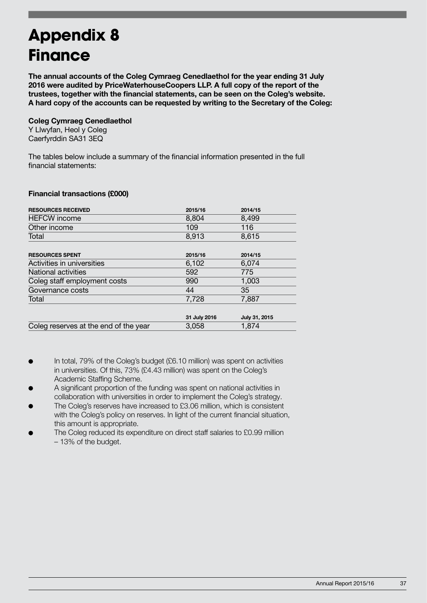## **Appendix 8 Finance**

The annual accounts of the Coleg Cymraeg Cenedlaethol for the year ending 31 July 2016 were audited by PriceWaterhouseCoopers LLP. A full copy of the report of the trustees, together with the financial statements, can be seen on the Coleg's website. A hard copy of the accounts can be requested by writing to the Secretary of the Coleg:

#### Coleg Cymraeg Cenedlaethol

Y Llwyfan, Heol y Coleg Caerfyrddin SA31 3EQ

The tables below include a summary of the financial information presented in the full financial statements:

#### Financial transactions (£000)

| <b>RESOURCES RECEIVED</b>             | 2015/16      | 2014/15       |
|---------------------------------------|--------------|---------------|
| <b>HEFCW</b> income                   | 8,804        | 8,499         |
| Other income                          | 109          | 116           |
| Total                                 | 8,913        | 8,615         |
|                                       |              |               |
| <b>RESOURCES SPENT</b>                | 2015/16      | 2014/15       |
| Activities in universities            | 6,102        | 6.074         |
| National activities                   | 592          | 775           |
| Coleg staff employment costs          | 990          | 1,003         |
| Governance costs                      | 44           | 35            |
| Total                                 | 7,728        | 7.887         |
|                                       |              |               |
|                                       | 31 July 2016 | July 31, 2015 |
| Coleg reserves at the end of the year | 3,058        | 1,874         |

- In total, 79% of the Coleg's budget (£6.10 million) was spent on activities in universities. Of this, 73% (£4.43 million) was spent on the Coleg's Academic Staffing Scheme.
- A significant proportion of the funding was spent on national activities in collaboration with universities in order to implement the Coleg's strategy.
- The Coleg's reserves have increased to £3.06 million, which is consistent with the Coleg's policy on reserves. In light of the current financial situation, this amount is appropriate.
- The Coleg reduced its expenditure on direct staff salaries to £0.99 million – 13% of the budget.